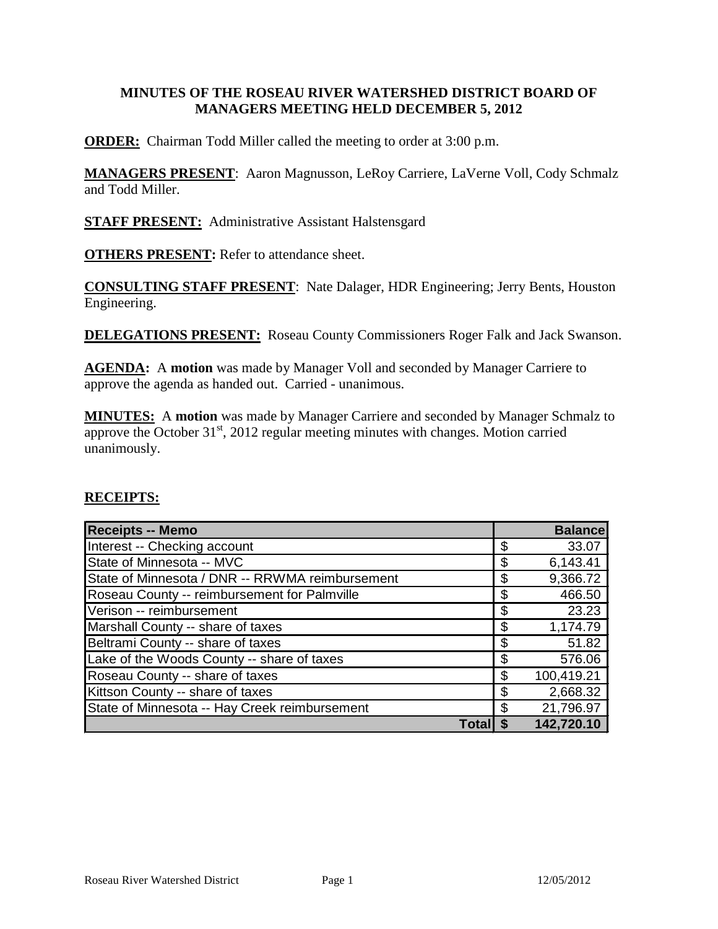# **MINUTES OF THE ROSEAU RIVER WATERSHED DISTRICT BOARD OF MANAGERS MEETING HELD DECEMBER 5, 2012**

**ORDER:** Chairman Todd Miller called the meeting to order at 3:00 p.m.

**MANAGERS PRESENT**: Aaron Magnusson, LeRoy Carriere, LaVerne Voll, Cody Schmalz and Todd Miller.

**STAFF PRESENT:** Administrative Assistant Halstensgard

**OTHERS PRESENT:** Refer to attendance sheet.

**CONSULTING STAFF PRESENT**: Nate Dalager, HDR Engineering; Jerry Bents, Houston Engineering.

**DELEGATIONS PRESENT:** Roseau County Commissioners Roger Falk and Jack Swanson.

**AGENDA:** A **motion** was made by Manager Voll and seconded by Manager Carriere to approve the agenda as handed out. Carried - unanimous.

**MINUTES:** A **motion** was made by Manager Carriere and seconded by Manager Schmalz to approve the October  $31<sup>st</sup>$ , 2012 regular meeting minutes with changes. Motion carried unanimously.

### **RECEIPTS:**

| <b>Receipts -- Memo</b>                         |    | <b>Balance</b> |
|-------------------------------------------------|----|----------------|
| Interest -- Checking account                    | \$ | 33.07          |
| State of Minnesota -- MVC                       | \$ | 6,143.41       |
| State of Minnesota / DNR -- RRWMA reimbursement | \$ | 9,366.72       |
| Roseau County -- reimbursement for Palmville    | \$ | 466.50         |
| Verison -- reimbursement                        | \$ | 23.23          |
| Marshall County -- share of taxes               | \$ | 1,174.79       |
| Beltrami County -- share of taxes               | \$ | 51.82          |
| Lake of the Woods County -- share of taxes      | \$ | 576.06         |
| Roseau County -- share of taxes                 | \$ | 100,419.21     |
| Kittson County -- share of taxes                | \$ | 2,668.32       |
| State of Minnesota -- Hay Creek reimbursement   | S  | 21,796.97      |
| Total                                           |    | 142,720.10     |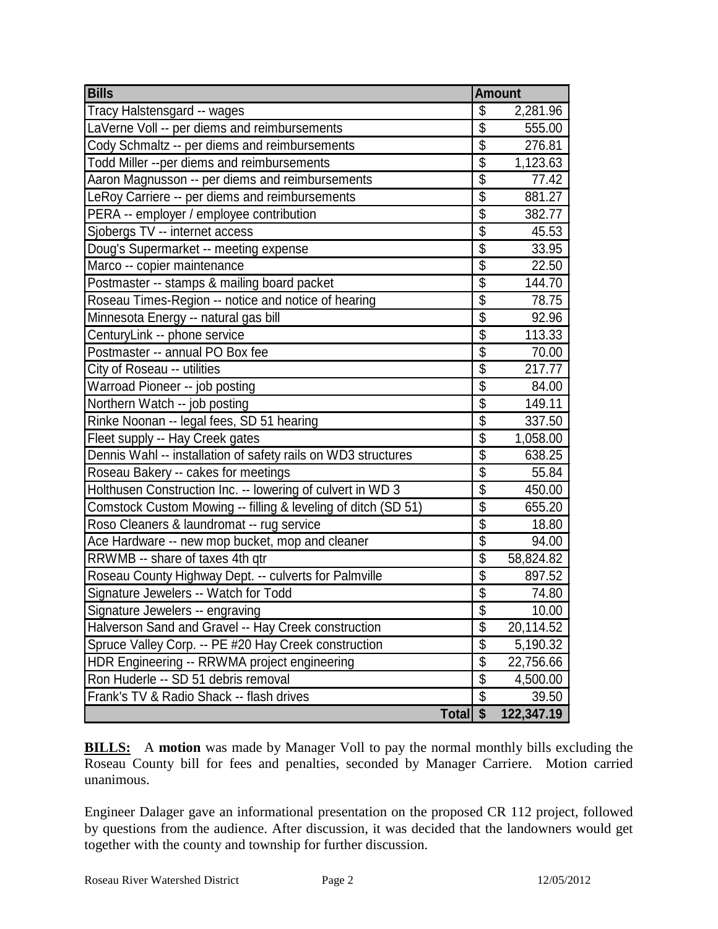| <b>Bills</b>                                                  | <b>Amount</b>             |            |
|---------------------------------------------------------------|---------------------------|------------|
| Tracy Halstensgard -- wages                                   | \$                        | 2,281.96   |
| LaVerne Voll -- per diems and reimbursements                  | $\overline{\mathbb{S}}$   | 555.00     |
| Cody Schmaltz -- per diems and reimbursements                 | $\overline{\$}$           | 276.81     |
| Todd Miller --per diems and reimbursements                    | $\overline{\mathbb{S}}$   | 1,123.63   |
| Aaron Magnusson -- per diems and reimbursements               | $\overline{\$}$           | 77.42      |
| LeRoy Carriere -- per diems and reimbursements                | \$                        | 881.27     |
| PERA -- employer / employee contribution                      | $\overline{\$}$           | 382.77     |
| Sjobergs TV -- internet access                                | \$                        | 45.53      |
| Doug's Supermarket -- meeting expense                         | $\overline{\mathbb{S}}$   | 33.95      |
| Marco -- copier maintenance                                   | $\overline{\$}$           | 22.50      |
| Postmaster -- stamps & mailing board packet                   | $\overline{\$}$           | 144.70     |
| Roseau Times-Region -- notice and notice of hearing           | $\overline{\$}$           | 78.75      |
| Minnesota Energy -- natural gas bill                          | $\overline{\mathcal{S}}$  | 92.96      |
| CenturyLink -- phone service                                  | $\overline{\$}$           | 113.33     |
| Postmaster -- annual PO Box fee                               | $\overline{\mathbb{S}}$   | 70.00      |
| City of Roseau -- utilities                                   | $\overline{\$}$           | 217.77     |
| Warroad Pioneer -- job posting                                | \$                        | 84.00      |
| Northern Watch -- job posting                                 | $\overline{\mathfrak{s}}$ | 149.11     |
| Rinke Noonan -- legal fees, SD 51 hearing                     | \$                        | 337.50     |
| Fleet supply -- Hay Creek gates                               | \$                        | 1,058.00   |
| Dennis Wahl -- installation of safety rails on WD3 structures | $\overline{\$}$           | 638.25     |
| Roseau Bakery -- cakes for meetings                           | $\overline{\mathcal{S}}$  | 55.84      |
| Holthusen Construction Inc. -- lowering of culvert in WD 3    | $\overline{\$}$           | 450.00     |
| Comstock Custom Mowing -- filling & leveling of ditch (SD 51) | $\overline{\mathcal{S}}$  | 655.20     |
| Roso Cleaners & laundromat -- rug service                     | $\overline{\$}$           | 18.80      |
| Ace Hardware -- new mop bucket, mop and cleaner               | $\overline{\mathcal{S}}$  | 94.00      |
| RRWMB -- share of taxes 4th qtr                               | $\overline{\$}$           | 58,824.82  |
| Roseau County Highway Dept. -- culverts for Palmville         | \$                        | 897.52     |
| Signature Jewelers -- Watch for Todd                          | $\overline{\mathbb{S}}$   | 74.80      |
| Signature Jewelers -- engraving                               | $\overline{\$}$           | 10.00      |
| Halverson Sand and Gravel -- Hay Creek construction           | $\overline{\$}$           | 20,114.52  |
| Spruce Valley Corp. -- PE #20 Hay Creek construction          | \$                        | 5,190.32   |
| HDR Engineering -- RRWMA project engineering                  | \$                        | 22,756.66  |
| Ron Huderle -- SD 51 debris removal                           | $\overline{\mathcal{S}}$  | 4,500.00   |
| Frank's TV & Radio Shack -- flash drives                      | \$                        | 39.50      |
| <b>Total</b>                                                  | $\overline{\mathbf{s}}$   | 122,347.19 |

**BILLS:** A motion was made by Manager Voll to pay the normal monthly bills excluding the Roseau County bill for fees and penalties, seconded by Manager Carriere. Motion carried unanimous.

Engineer Dalager gave an informational presentation on the proposed CR 112 project, followed by questions from the audience. After discussion, it was decided that the landowners would get together with the county and township for further discussion.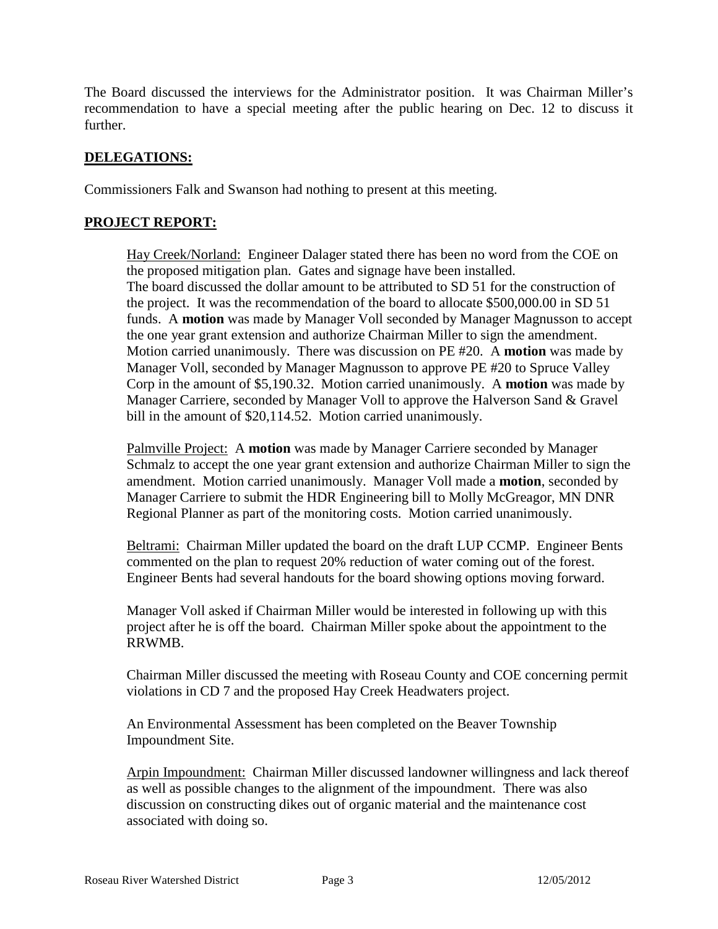The Board discussed the interviews for the Administrator position. It was Chairman Miller's recommendation to have a special meeting after the public hearing on Dec. 12 to discuss it further.

# **DELEGATIONS:**

Commissioners Falk and Swanson had nothing to present at this meeting.

## **PROJECT REPORT:**

Hay Creek/Norland: Engineer Dalager stated there has been no word from the COE on the proposed mitigation plan. Gates and signage have been installed. The board discussed the dollar amount to be attributed to SD 51 for the construction of the project. It was the recommendation of the board to allocate \$500,000.00 in SD 51 funds. A **motion** was made by Manager Voll seconded by Manager Magnusson to accept the one year grant extension and authorize Chairman Miller to sign the amendment. Motion carried unanimously. There was discussion on PE #20. A **motion** was made by Manager Voll, seconded by Manager Magnusson to approve PE #20 to Spruce Valley Corp in the amount of \$5,190.32. Motion carried unanimously. A **motion** was made by Manager Carriere, seconded by Manager Voll to approve the Halverson Sand & Gravel bill in the amount of \$20,114.52. Motion carried unanimously.

Palmville Project: A **motion** was made by Manager Carriere seconded by Manager Schmalz to accept the one year grant extension and authorize Chairman Miller to sign the amendment. Motion carried unanimously. Manager Voll made a **motion**, seconded by Manager Carriere to submit the HDR Engineering bill to Molly McGreagor, MN DNR Regional Planner as part of the monitoring costs. Motion carried unanimously.

Beltrami: Chairman Miller updated the board on the draft LUP CCMP. Engineer Bents commented on the plan to request 20% reduction of water coming out of the forest. Engineer Bents had several handouts for the board showing options moving forward.

Manager Voll asked if Chairman Miller would be interested in following up with this project after he is off the board. Chairman Miller spoke about the appointment to the RRWMB.

Chairman Miller discussed the meeting with Roseau County and COE concerning permit violations in CD 7 and the proposed Hay Creek Headwaters project.

An Environmental Assessment has been completed on the Beaver Township Impoundment Site.

Arpin Impoundment: Chairman Miller discussed landowner willingness and lack thereof as well as possible changes to the alignment of the impoundment. There was also discussion on constructing dikes out of organic material and the maintenance cost associated with doing so.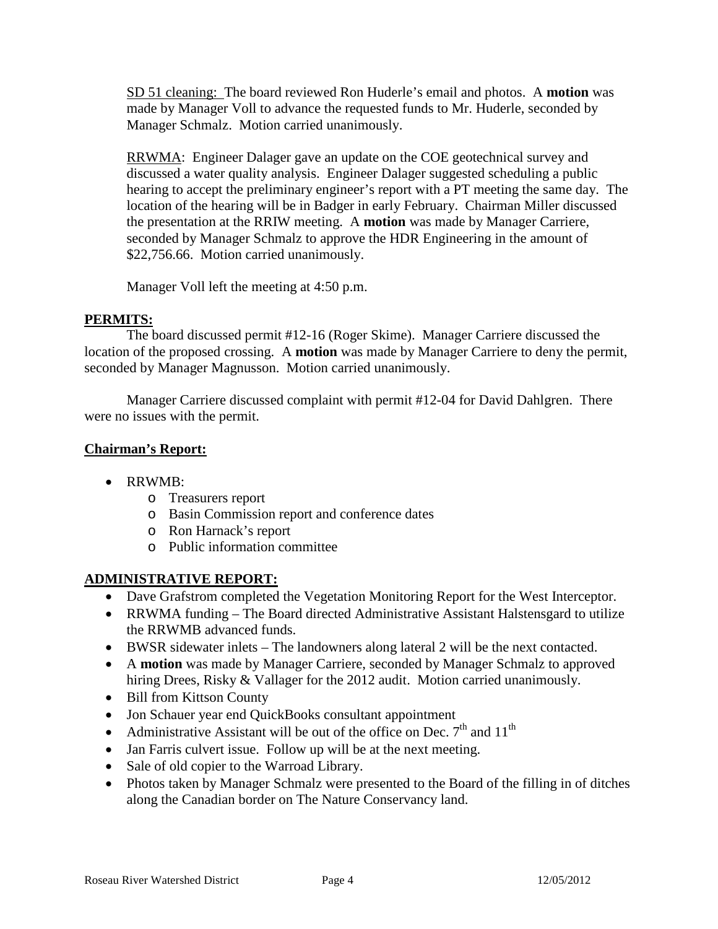SD 51 cleaning: The board reviewed Ron Huderle's email and photos. A **motion** was made by Manager Voll to advance the requested funds to Mr. Huderle, seconded by Manager Schmalz. Motion carried unanimously.

RRWMA: Engineer Dalager gave an update on the COE geotechnical survey and discussed a water quality analysis. Engineer Dalager suggested scheduling a public hearing to accept the preliminary engineer's report with a PT meeting the same day. The location of the hearing will be in Badger in early February. Chairman Miller discussed the presentation at the RRIW meeting. A **motion** was made by Manager Carriere, seconded by Manager Schmalz to approve the HDR Engineering in the amount of \$22,756.66. Motion carried unanimously.

Manager Voll left the meeting at 4:50 p.m.

# **PERMITS:**

The board discussed permit #12-16 (Roger Skime). Manager Carriere discussed the location of the proposed crossing. A **motion** was made by Manager Carriere to deny the permit, seconded by Manager Magnusson. Motion carried unanimously.

Manager Carriere discussed complaint with permit #12-04 for David Dahlgren. There were no issues with the permit.

# **Chairman's Report:**

- RRWMB:
	- o Treasurers report
	- o Basin Commission report and conference dates
	- o Ron Harnack's report
	- o Public information committee

# **ADMINISTRATIVE REPORT:**

- Dave Grafstrom completed the Vegetation Monitoring Report for the West Interceptor.
- RRWMA funding The Board directed Administrative Assistant Halstensgard to utilize the RRWMB advanced funds.
- BWSR sidewater inlets The landowners along lateral 2 will be the next contacted.
- A **motion** was made by Manager Carriere, seconded by Manager Schmalz to approved hiring Drees, Risky & Vallager for the 2012 audit. Motion carried unanimously.
- Bill from Kittson County
- Jon Schauer year end QuickBooks consultant appointment
- Administrative Assistant will be out of the office on Dec.  $7<sup>th</sup>$  and  $11<sup>th</sup>$
- Jan Farris culvert issue. Follow up will be at the next meeting.
- Sale of old copier to the Warroad Library.
- Photos taken by Manager Schmalz were presented to the Board of the filling in of ditches along the Canadian border on The Nature Conservancy land.